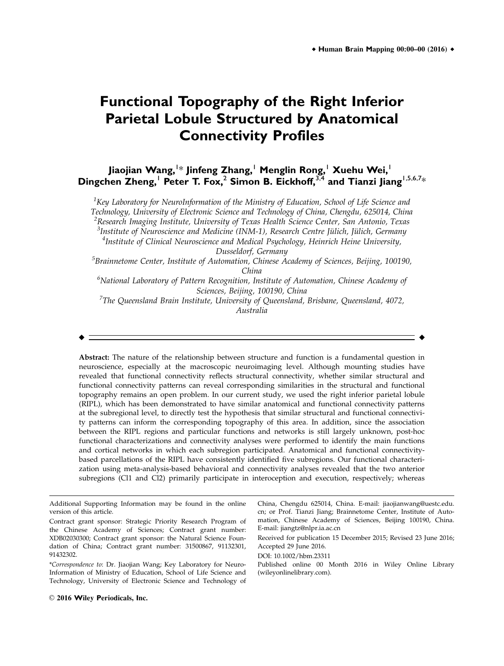# **Functional Topography of the Right Inferior Parietal Lobule Structured by Anatomical Connectivity Profiles**

# **Jiaojian Wang,**<sup>1</sup> \* **Jinfeng Zhang,**<sup>1</sup> **Menglin Rong,**<sup>1</sup> **Xuehu Wei,**<sup>1</sup> **Dingchen Zheng,**<sup>1</sup> **Peter T. Fox,**<sup>2</sup> **Simon B. Eickhoff,**3,4 **and Tianzi Jiang**1,5,6,7\*

 $^1$ Key Laboratory for NeuroInformation of the Ministry of Education, School of Life Science and Technology, University of Electronic Science and Technology of China, Chengdu, 625014, China  $^{2}$ Research Imaging Institute, University of Texas Health Science Center, San Antonio, Texas <sup>3</sup>Institute of Neuroscience and Medicine (INM-1), Research Centre Jülich, Jülich, Germany<br><sup>4</sup>Institute of Clinical Neuroscience and Medical Psychology, Heinrich Heine University <sup>4</sup>Institute of Clinical Neuroscience and Medical Psychology, Heinrich Heine University, Dusseldorf, Germany

<sup>5</sup>Brainnetome Center, Institute of Automation, Chinese Academy of Sciences, Beijing, 100190, China

<sup>6</sup>National Laboratory of Pattern Recognition, Institute of Automation, Chinese Academy of Sciences, Beijing, 100190, China

 $^7$ The Queensland Brain Institute, University of Queensland, Brisbane, Queensland, 4072, Australia

r r

Abstract: The nature of the relationship between structure and function is a fundamental question in neuroscience, especially at the macroscopic neuroimaging level. Although mounting studies have revealed that functional connectivity reflects structural connectivity, whether similar structural and functional connectivity patterns can reveal corresponding similarities in the structural and functional topography remains an open problem. In our current study, we used the right inferior parietal lobule (RIPL), which has been demonstrated to have similar anatomical and functional connectivity patterns at the subregional level, to directly test the hypothesis that similar structural and functional connectivity patterns can inform the corresponding topography of this area. In addition, since the association between the RIPL regions and particular functions and networks is still largely unknown, post-hoc functional characterizations and connectivity analyses were performed to identify the main functions and cortical networks in which each subregion participated. Anatomical and functional connectivitybased parcellations of the RIPL have consistently identified five subregions. Our functional characterization using meta-analysis-based behavioral and connectivity analyses revealed that the two anterior subregions (Cl1 and Cl2) primarily participate in interoception and execution, respectively; whereas

Additional Supporting Information may be found in the online version of this article. Contract grant sponsor: Strategic Priority Research Program of the Chinese Academy of Sciences; Contract grant number:

XDB02030300; Contract grant sponsor: the Natural Science Foundation of China; Contract grant number: 31500867, 91132301, 91432302.

<sup>\*</sup>Correspondence to: Dr. Jiaojian Wang; Key Laboratory for Neuro-Information of Ministry of Education, School of Life Science and Technology, University of Electronic Science and Technology of

China, Chengdu 625014, China. E-mail: jiaojianwang@uestc.edu. cn; or Prof. Tianzi Jiang; Brainnetome Center, Institute of Automation, Chinese Academy of Sciences, Beijing 100190, China. E-mail: jiangtz@nlpr.ia.ac.cn Received for publication 15 December 2015; Revised 23 June 2016;

Accepted 29 June 2016.

DOI: 10.1002/hbm.23311

Published online 00 Month 2016 in Wiley Online Library (wileyonlinelibrary.com).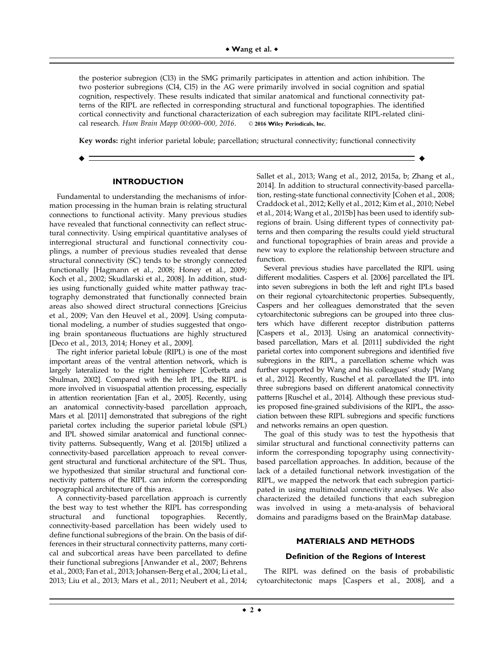the posterior subregion (Cl3) in the SMG primarily participates in attention and action inhibition. The two posterior subregions (Cl4, Cl5) in the AG were primarily involved in social cognition and spatial cognition, respectively. These results indicated that similar anatomical and functional connectivity patterns of the RIPL are reflected in corresponding structural and functional topographies. The identified cortical connectivity and functional characterization of each subregion may facilitate RIPL-related clinical research. Hum Brain Mapp 00:000-000, 2016. © 2016 Wiley Periodicals, Inc.

Key words: right inferior parietal lobule; parcellation; structural connectivity; functional connectivity

r r

#### **INTRODUCTION**

Fundamental to understanding the mechanisms of information processing in the human brain is relating structural connections to functional activity. Many previous studies have revealed that functional connectivity can reflect structural connectivity. Using empirical quantitative analyses of interregional structural and functional connectivity couplings, a number of previous studies revealed that dense structural connectivity (SC) tends to be strongly connected functionally [Hagmann et al., 2008; Honey et al., 2009; Koch et al., 2002; Skudlarski et al., 2008]. In addition, studies using functionally guided white matter pathway tractography demonstrated that functionally connected brain areas also showed direct structural connections [Greicius et al., 2009; Van den Heuvel et al., 2009]. Using computational modeling, a number of studies suggested that ongoing brain spontaneous fluctuations are highly structured [Deco et al., 2013, 2014; Honey et al., 2009].

The right inferior parietal lobule (RIPL) is one of the most important areas of the ventral attention network, which is largely lateralized to the right hemisphere [Corbetta and Shulman, 2002]. Compared with the left IPL, the RIPL is more involved in visuospatial attention processing, especially in attention reorientation [Fan et al., 2005]. Recently, using an anatomical connectivity-based parcellation approach, Mars et al. [2011] demonstrated that subregions of the right parietal cortex including the superior parietal lobule (SPL) and IPL showed similar anatomical and functional connectivity patterns. Subsequently, Wang et al. [2015b] utilized a connectivity-based parcellation approach to reveal convergent structural and functional architecture of the SPL. Thus, we hypothesized that similar structural and functional connectivity patterns of the RIPL can inform the corresponding topographical architecture of this area.

A connectivity-based parcellation approach is currently the best way to test whether the RIPL has corresponding structural and functional topographies. Recently, connectivity-based parcellation has been widely used to define functional subregions of the brain. On the basis of differences in their structural connectivity patterns, many cortical and subcortical areas have been parcellated to define their functional subregions [Anwander et al., 2007; Behrens et al., 2003; Fan et al., 2013; Johansen-Berg et al., 2004; Li et al., 2013; Liu et al., 2013; Mars et al., 2011; Neubert et al., 2014;

Sallet et al., 2013; Wang et al., 2012, 2015a, b; Zhang et al., 2014]. In addition to structural connectivity-based parcellation, resting-state functional connectivity [Cohen et al., 2008; Craddock et al., 2012; Kelly et al., 2012; Kim et al., 2010; Nebel et al., 2014; Wang et al., 2015b] has been used to identify subregions of brain. Using different types of connectivity patterns and then comparing the results could yield structural and functional topographies of brain areas and provide a new way to explore the relationship between structure and function.

Several previous studies have parcellated the RIPL using different modalities. Caspers et al. [2006] parcellated the IPL into seven subregions in both the left and right IPLs based on their regional cytoarchitectonic properties. Subsequently, Caspers and her colleagues demonstrated that the seven cytoarchitectonic subregions can be grouped into three clusters which have different receptor distribution patterns [Caspers et al., 2013]. Using an anatomical connectivitybased parcellation, Mars et al. [2011] subdivided the right parietal cortex into component subregions and identified five subregions in the RIPL, a parcellation scheme which was further supported by Wang and his colleagues' study [Wang et al., 2012]. Recently, Ruschel et al. parcellated the IPL into three subregions based on different anatomical connectivity patterns [Ruschel et al., 2014]. Although these previous studies proposed fine-grained subdivisions of the RIPL, the association between these RIPL subregions and specific functions and networks remains an open question.

The goal of this study was to test the hypothesis that similar structural and functional connectivity patterns can inform the corresponding topography using connectivitybased parcellation approaches. In addition, because of the lack of a detailed functional network investigation of the RIPL, we mapped the network that each subregion participated in using multimodal connectivity analyses. We also characterized the detailed functions that each subregion was involved in using a meta-analysis of behavioral domains and paradigms based on the BrainMap database.

#### **MATERIALS AND METHODS**

#### **Definition of the Regions of Interest**

The RIPL was defined on the basis of probabilistic cytoarchitectonic maps [Caspers et al., 2008], and a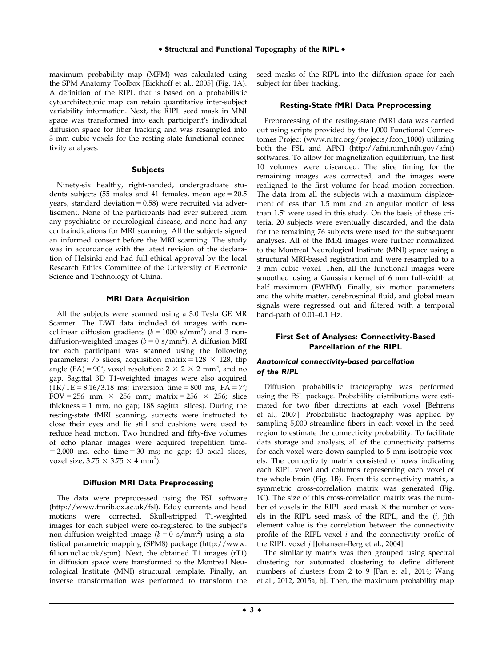maximum probability map (MPM) was calculated using the SPM Anatomy Toolbox [Eickhoff et al., 2005] (Fig. 1A). A definition of the RIPL that is based on a probabilistic cytoarchitectonic map can retain quantitative inter-subject variability information. Next, the RIPL seed mask in MNI space was transformed into each participant's individual diffusion space for fiber tracking and was resampled into 3 mm cubic voxels for the resting-state functional connectivity analyses.

#### **Subjects**

Ninety-six healthy, right-handed, undergraduate students subjects (55 males and 41 females, mean age  $= 20.5$ years, standard deviation  $= 0.58$ ) were recruited via advertisement. None of the participants had ever suffered from any psychiatric or neurological disease, and none had any contraindications for MRI scanning. All the subjects signed an informed consent before the MRI scanning. The study was in accordance with the latest revision of the declaration of Helsinki and had full ethical approval by the local Research Ethics Committee of the University of Electronic Science and Technology of China.

#### **MRI Data Acquisition**

All the subjects were scanned using a 3.0 Tesla GE MR Scanner. The DWI data included 64 images with noncollinear diffusion gradients ( $b = 1000 \text{ s/mm}^2$ ) and 3 nondiffusion-weighted images ( $b = 0$  s/mm<sup>2</sup>). A diffusion MRI for each participant was scanned using the following parameters: 75 slices, acquisition matrix =  $128 \times 128$ , flip angle (FA) = 90°, voxel resolution:  $2 \times 2 \times 2$  mm<sup>3</sup>, and no gap. Sagittal 3D T1-weighted images were also acquired  $(TR/TE = 8.16/3.18$  ms; inversion time = 800 ms; FA = 7°; FOV = 256 mm  $\times$  256 mm; matrix = 256  $\times$  256; slice thickness  $= 1$  mm, no gap; 188 sagittal slices). During the resting-state fMRI scanning, subjects were instructed to close their eyes and lie still and cushions were used to reduce head motion. Two hundred and fifty-five volumes of echo planar images were acquired (repetition time- $= 2,000$  ms, echo time  $= 30$  ms; no gap; 40 axial slices, voxel size,  $3.75 \times 3.75 \times 4 \text{ mm}^3$ ).

#### **Diffusion MRI Data Preprocessing**

The data were preprocessed using the FSL software ([http://www.fmrib.ox.ac.uk/fsl\)](http://www.fmrib.ox.ac.uk/fsl). Eddy currents and head motions were corrected. Skull-stripped T1-weighted images for each subject were co-registered to the subject's non-diffusion-weighted image  $(b=0 \text{ s/mm}^2)$  using a statistical parametric mapping (SPM8) package ([http://www.](http://www.fil.ion.ucl.ac.uk/spm) [fil.ion.ucl.ac.uk/spm](http://www.fil.ion.ucl.ac.uk/spm)). Next, the obtained T1 images (rT1) in diffusion space were transformed to the Montreal Neurological Institute (MNI) structural template. Finally, an inverse transformation was performed to transform the seed masks of the RIPL into the diffusion space for each subject for fiber tracking.

#### **Resting-State fMRI Data Preprocessing**

Preprocessing of the resting-state fMRI data was carried out using scripts provided by the 1,000 Functional Connectomes Project [\(www.nitrc.org/projects/fcon\\_](http://www.nitrc.org/projects/fcon_)1000) utilizing both the FSL and AFNI [\(http://afni.nimh.nih.gov/afni](http://afni.nimh.nih.gov/afni)) softwares. To allow for magnetization equilibrium, the first 10 volumes were discarded. The slice timing for the remaining images was corrected, and the images were realigned to the first volume for head motion correction. The data from all the subjects with a maximum displacement of less than 1.5 mm and an angular motion of less than  $1.5^\circ$  were used in this study. On the basis of these criteria, 20 subjects were eventually discarded, and the data for the remaining 76 subjects were used for the subsequent analyses. All of the fMRI images were further normalized to the Montreal Neurological Institute (MNI) space using a structural MRI-based registration and were resampled to a 3 mm cubic voxel. Then, all the functional images were smoothed using a Gaussian kernel of 6 mm full-width at half maximum (FWHM). Finally, six motion parameters and the white matter, cerebrospinal fluid, and global mean signals were regressed out and filtered with a temporal band-path of 0.01–0.1 Hz.

# **First Set of Analyses: Connectivity-Based Parcellation of the RIPL**

#### Anatomical connectivity-based parcellation of the RIPL

Diffusion probabilistic tractography was performed using the FSL package. Probability distributions were estimated for two fiber directions at each voxel [Behrens et al., 2007]. Probabilistic tractography was applied by sampling 5,000 streamline fibers in each voxel in the seed region to estimate the connectivity probability. To facilitate data storage and analysis, all of the connectivity patterns for each voxel were down-sampled to 5 mm isotropic voxels. The connectivity matrix consisted of rows indicating each RIPL voxel and columns representing each voxel of the whole brain (Fig. 1B). From this connectivity matrix, a symmetric cross-correlation matrix was generated (Fig. 1C). The size of this cross-correlation matrix was the number of voxels in the RIPL seed mask  $\times$  the number of voxels in the RIPL seed mask of the RIPL, and the  $(i, j)$ th element value is the correlation between the connectivity profile of the RIPL voxel  $i$  and the connectivity profile of the RIPL voxel j [Johansen-Berg et al., 2004].

The similarity matrix was then grouped using spectral clustering for automated clustering to define different numbers of clusters from 2 to 9 [Fan et al., 2014; Wang et al., 2012, 2015a, b]. Then, the maximum probability map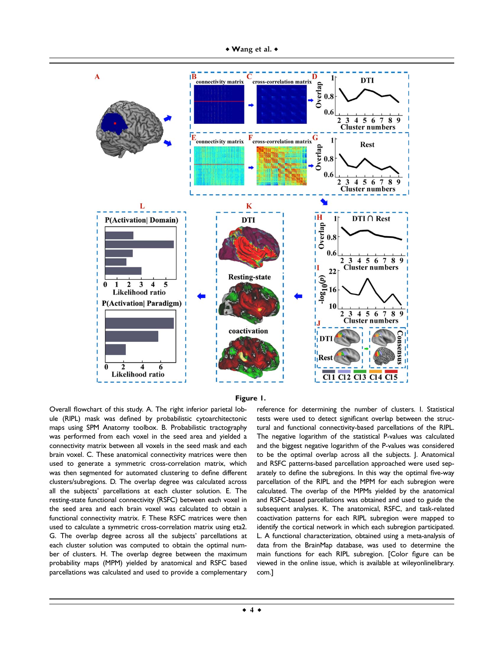

#### **Figure 1.**

Overall flowchart of this study. A. The right inferior parietal lobule (RIPL) mask was defined by probabilistic cytoarchitectonic maps using SPM Anatomy toolbox. B. Probabilistic tractography was performed from each voxel in the seed area and yielded a connectivity matrix between all voxels in the seed mask and each brain voxel. C. These anatomical connectivity matrices were then used to generate a symmetric cross-correlation matrix, which was then segmented for automated clustering to define different clusters/subregions. D. The overlap degree was calculated across all the subjects' parcellations at each cluster solution. E. The resting-state functional connectivity (RSFC) between each voxel in the seed area and each brain voxel was calculated to obtain a functional connectivity matrix. F. These RSFC matrices were then used to calculate a symmetric cross-correlation matrix using eta2. G. The overlap degree across all the subjects' parcellations at each cluster solution was computed to obtain the optimal number of clusters. H. The overlap degree between the maximum probability maps (MPM) yielded by anatomical and RSFC based parcellations was calculated and used to provide a complementary

reference for determining the number of clusters. I. Statistical tests were used to detect significant overlap between the structural and functional connectivity-based parcellations of the RIPL. The negative logarithm of the statistical P-values was calculated and the biggest negative logarithm of the P-values was considered to be the optimal overlap across all the subjects. J. Anatomical and RSFC patterns-based parcellation approached were used separately to define the subregions. In this way the optimal five-way parcellation of the RIPL and the MPM for each subregion were calculated. The overlap of the MPMs yielded by the anatomical and RSFC-based parcellations was obtained and used to guide the subsequent analyses. K. The anatomical, RSFC, and task-related coactivation patterns for each RIPL subregion were mapped to identify the cortical network in which each subregion participated. L. A functional characterization, obtained using a meta-analysis of data from the BrainMap database, was used to determine the main functions for each RIPL subregion. [Color figure can be viewed in the online issue, which is available at [wileyonlinelibrary.](http://wileyonlinelibrary.com) [com.](http://wileyonlinelibrary.com)]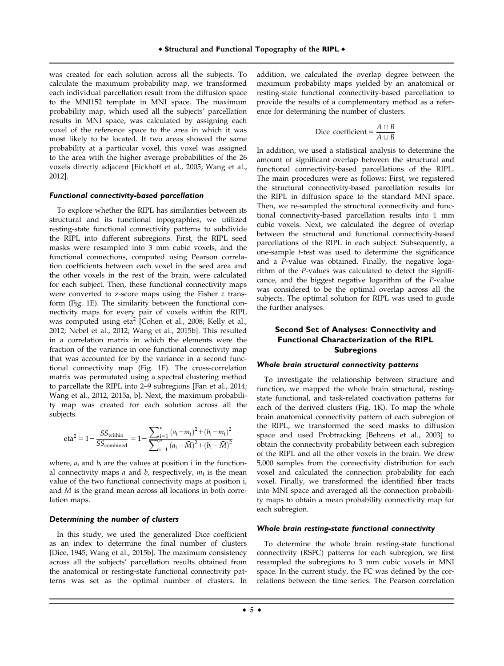was created for each solution across all the subjects. To calculate the maximum probability map, we transformed each individual parcellation result from the diffusion space to the MNI152 template in MNI space. The maximum probability map, which used all the subjects' parcellation results in MNI space, was calculated by assigning each voxel of the reference space to the area in which it was most likely to be located. If two areas showed the same probability at a particular voxel, this voxel was assigned to the area with the higher average probabilities of the 26 voxels directly adjacent [Eickhoff et al., 2005; Wang et al., 2012].

#### Functional connectivity-based parcellation

To explore whether the RIPL has similarities between its structural and its functional topographies, we utilized resting-state functional connectivity patterns to subdivide the RIPL into different subregions. First, the RIPL seed masks were resampled into 3 mm cubic voxels, and the functional connections, computed using Pearson correlation coefficients between each voxel in the seed area and the other voxels in the rest of the brain, were calculated for each subject. Then, these functional connectivity maps were converted to z-score maps using the Fisher z transform (Fig. 1E). The similarity between the functional connectivity maps for every pair of voxels within the RIPL was computed using  $eta^2$  [Cohen et al., 2008; Kelly et al., 2012; Nebel et al., 2012; Wang et al., 2015b]. This resulted in a correlation matrix in which the elements were the fraction of the variance in one functional connectivity map that was accounted for by the variance in a second functional connectivity map (Fig. 1F). The cross-correlation matrix was permutated using a spectral clustering method to parcellate the RIPL into 2–9 subregions [Fan et al., 2014; Wang et al., 2012, 2015a, b]. Next, the maximum probability map was created for each solution across all the subjects.

eta<sup>2</sup> = 1 - 
$$
\frac{SS_{within}}{SS_{combined}}
$$
 = 1 -  $\frac{\sum_{i=1}^{n} (a_i - m_i)^2 + (b_i - m_i)^2}{\sum_{i=1}^{n} (a_i - \bar{M})^2 + (b_i - \bar{M})^2}$ 

where,  $a_i$  and  $b_i$  are the values at position i in the functional connectivity maps  $a$  and  $b$ , respectively,  $m_i$  is the mean value of the two functional connectivity maps at position i, and  $\overline{M}$  is the grand mean across all locations in both correlation maps.

#### Determining the number of clusters

In this study, we used the generalized Dice coefficient as an index to determine the final number of clusters [Dice, 1945; Wang et al., 2015b]. The maximum consistency across all the subjects' parcellation results obtained from the anatomical or resting-state functional connectivity patterns was set as the optimal number of clusters. In

addition, we calculated the overlap degree between the maximum probability maps yielded by an anatomical or resting-state functional connectivity-based parcellation to provide the results of a complementary method as a reference for determining the number of clusters.

$$
Dice coefficient = \frac{A \cap B}{A \cup B}
$$

In addition, we used a statistical analysis to determine the amount of significant overlap between the structural and functional connectivity-based parcellations of the RIPL. The main procedures were as follows: First, we registered the structural connectivity-based parcellation results for the RIPL in diffusion space to the standard MNI space. Then, we re-sampled the structural connectivity and functional connectivity-based parcellation results into 1 mm cubic voxels. Next, we calculated the degree of overlap between the structural and functional connectivity-based parcellations of the RIPL in each subject. Subsequently, a one-sample t-test was used to determine the significance and a P-value was obtained. Finally, the negative logarithm of the P-values was calculated to detect the significance, and the biggest negative logarithm of the P-value was considered to be the optimal overlap across all the subjects. The optimal solution for RIPL was used to guide the further analyses.

# **Second Set of Analyses: Connectivity and Functional Characterization of the RIPL Subregions**

#### Whole brain structural connectivity patterns

To investigate the relationship between structure and function, we mapped the whole brain structural, restingstate functional, and task-related coactivation patterns for each of the derived clusters (Fig. 1K). To map the whole brain anatomical connectivity pattern of each subregion of the RIPL, we transformed the seed masks to diffusion space and used Probtracking [Behrens et al., 2003] to obtain the connectivity probability between each subregion of the RIPL and all the other voxels in the brain. We drew 5,000 samples from the connectivity distribution for each voxel and calculated the connection probability for each voxel. Finally, we transformed the identified fiber tracts into MNI space and averaged all the connection probability maps to obtain a mean probability connectivity map for each subregion.

#### Whole brain resting-state functional connectivity

To determine the whole brain resting-state functional connectivity (RSFC) patterns for each subregion, we first resampled the subregions to 3 mm cubic voxels in MNI space. In the current study, the FC was defined by the correlations between the time series. The Pearson correlation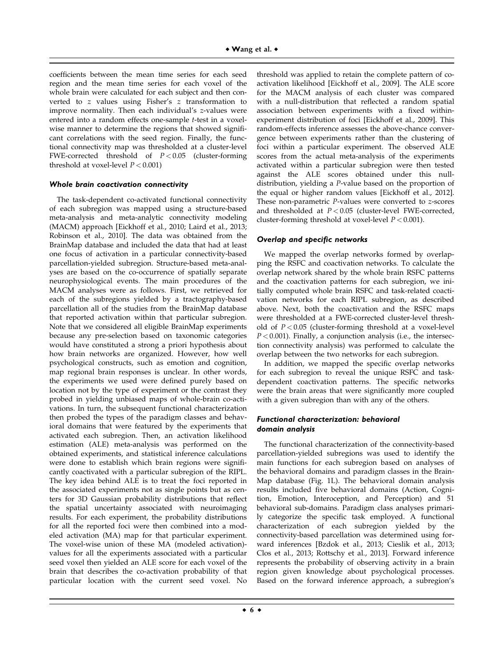coefficients between the mean time series for each seed region and the mean time series for each voxel of the whole brain were calculated for each subject and then converted to z values using Fisher's z transformation to improve normality. Then each individual's z-values were entered into a random effects one-sample t-test in a voxelwise manner to determine the regions that showed significant correlations with the seed region. Finally, the functional connectivity map was thresholded at a cluster-level FWE-corrected threshold of  $P < 0.05$  (cluster-forming threshold at voxel-level  $P < 0.001$ )

#### Whole brain coactivation connectivity

The task-dependent co-activated functional connectivity of each subregion was mapped using a structure-based meta-analysis and meta-analytic connectivity modeling (MACM) approach [Eickhoff et al., 2010; Laird et al., 2013; Robinson et al., 2010]. The data was obtained from the BrainMap database and included the data that had at least one focus of activation in a particular connectivity-based parcellation-yielded subregion. Structure-based meta-analyses are based on the co-occurrence of spatially separate neurophysiological events. The main procedures of the MACM analyses were as follows. First, we retrieved for each of the subregions yielded by a tractography-based parcellation all of the studies from the BrainMap database that reported activation within that particular subregion. Note that we considered all eligible BrainMap experiments because any pre-selection based on taxonomic categories would have constituted a strong a priori hypothesis about how brain networks are organized. However, how well psychological constructs, such as emotion and cognition, map regional brain responses is unclear. In other words, the experiments we used were defined purely based on location not by the type of experiment or the contrast they probed in yielding unbiased maps of whole-brain co-activations. In turn, the subsequent functional characterization then probed the types of the paradigm classes and behavioral domains that were featured by the experiments that activated each subregion. Then, an activation likelihood estimation (ALE) meta-analysis was performed on the obtained experiments, and statistical inference calculations were done to establish which brain regions were significantly coactivated with a particular subregion of the RIPL. The key idea behind ALE is to treat the foci reported in the associated experiments not as single points but as centers for 3D Gaussian probability distributions that reflect the spatial uncertainty associated with neuroimaging results. For each experiment, the probability distributions for all the reported foci were then combined into a modeled activation (MA) map for that particular experiment. The voxel-wise union of these MA (modeled activation) values for all the experiments associated with a particular seed voxel then yielded an ALE score for each voxel of the brain that describes the co-activation probability of that particular location with the current seed voxel. No

threshold was applied to retain the complete pattern of coactivation likelihood [Eickhoff et al., 2009]. The ALE score for the MACM analysis of each cluster was compared with a null-distribution that reflected a random spatial association between experiments with a fixed withinexperiment distribution of foci [Eickhoff et al., 2009]. This random-effects inference assesses the above-chance convergence between experiments rather than the clustering of foci within a particular experiment. The observed ALE scores from the actual meta-analysis of the experiments activated within a particular subregion were then tested against the ALE scores obtained under this nulldistribution, yielding a P-value based on the proportion of the equal or higher random values [Eickhoff et al., 2012]. These non-parametric P-values were converted to z-scores and thresholded at  $P < 0.05$  (cluster-level FWE-corrected, cluster-forming threshold at voxel-level  $P < 0.001$ ).

#### Overlap and specific networks

We mapped the overlap networks formed by overlapping the RSFC and coactivation networks. To calculate the overlap network shared by the whole brain RSFC patterns and the coactivation patterns for each subregion, we initially computed whole brain RSFC and task-related coactivation networks for each RIPL subregion, as described above. Next, both the coactivation and the RSFC maps were thresholded at a FWE-corrected cluster-level threshold of  $P < 0.05$  (cluster-forming threshold at a voxel-level  $P < 0.001$ ). Finally, a conjunction analysis (i.e., the intersection connectivity analysis) was performed to calculate the overlap between the two networks for each subregion.

In addition, we mapped the specific overlap networks for each subregion to reveal the unique RSFC and taskdependent coactivation patterns. The specific networks were the brain areas that were significantly more coupled with a given subregion than with any of the others.

# Functional characterization: behavioral domain analysis

The functional characterization of the connectivity-based parcellation-yielded subregions was used to identify the main functions for each subregion based on analyses of the behavioral domains and paradigm classes in the Brain-Map database (Fig. 1L). The behavioral domain analysis results included five behavioral domains (Action, Cognition, Emotion, Interoception, and Perception) and 51 behavioral sub-domains. Paradigm class analyses primarily categorize the specific task employed. A functional characterization of each subregion yielded by the connectivity-based parcellation was determined using forward inferences [Bzdok et al., 2013; Cieslik et al., 2013; Clos et al., 2013; Rottschy et al., 2013]. Forward inference represents the probability of observing activity in a brain region given knowledge about psychological processes. Based on the forward inference approach, a subregion's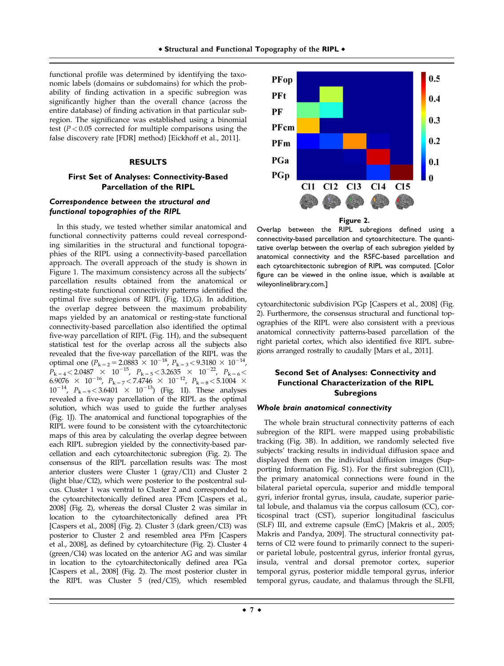functional profile was determined by identifying the taxonomic labels (domains or subdomains) for which the probability of finding activation in a specific subregion was significantly higher than the overall chance (across the entire database) of finding activation in that particular subregion. The significance was established using a binomial test ( $P < 0.05$  corrected for multiple comparisons using the false discovery rate [FDR] method) [Eickhoff et al., 2011].

#### **RESULTS**

# **First Set of Analyses: Connectivity-Based Parcellation of the RIPL**

# Correspondence between the structural and functional topographies of the RIPL

In this study, we tested whether similar anatomical and functional connectivity patterns could reveal corresponding similarities in the structural and functional topographies of the RIPL using a connectivity-based parcellation approach. The overall approach of the study is shown in Figure 1. The maximum consistency across all the subjects' parcellation results obtained from the anatomical or resting-state functional connectivity patterns identified the optimal five subregions of RIPL (Fig. 1D,G). In addition, the overlap degree between the maximum probability maps yielded by an anatomical or resting-state functional connectivity-based parcellation also identified the optimal five-way parcellation of RIPL (Fig. 1H), and the subsequent statistical test for the overlap across all the subjects also revealed that the five-way parcellation of the RIPL was the optimal one  $(P_{k=2} = 2.0883 \times 10^{-18}, P_{k=3} < 9.3180 \times 10^{-14}$ ,  $P_{k=4} < 2.0487 \times 10^{-15}$ ,  $P_{k=5} < 3.2635 \times 10^{-22}$ ,  $P_{k=6} <$ 6.9076  $\times$  10<sup>-16</sup>,  $P_{k=7}$  < 7.4746  $\times$  10<sup>-12</sup>,  $P_{k=8}$  < 5.1004  $\times$  $10^{-14}$ ,  $P_{k=9} < 3.6401 \times 10^{-13}$ ) (Fig. 1I). These analyses revealed a five-way parcellation of the RIPL as the optimal solution, which was used to guide the further analyses (Fig. 1J). The anatomical and functional topographies of the RIPL were found to be consistent with the cytoarchitectonic maps of this area by calculating the overlap degree between each RIPL subregion yielded by the connectivity-based parcellation and each cytoarchitectonic subregion (Fig. 2). The consensus of the RIPL parcellation results was: The most anterior clusters were Cluster 1 (gray/Cl1) and Cluster 2 (light blue/Cl2), which were posterior to the postcentral sulcus. Cluster 1 was ventral to Cluster 2 and corresponded to the cytoarchitectonically defined area PFcm [Caspers et al., 2008] (Fig. 2), whereas the dorsal Cluster 2 was similar in location to the cytoarchitectonically defined area PFt [Caspers et al., 2008] (Fig. 2). Cluster 3 (dark green/Cl3) was posterior to Cluster 2 and resembled area PFm [Caspers et al., 2008], as defined by cytoarchitecture (Fig. 2). Cluster 4 (green/Cl4) was located on the anterior AG and was similar in location to the cytoarchitectonically defined area PGa [Caspers et al., 2008] (Fig. 2). The most posterior cluster in the RIPL was Cluster 5 (red/Cl5), which resembled



Overlap between the RIPL subregions defined using a connectivity-based parcellation and cytoarchitecture. The quantitative overlap between the overlap of each subregion yielded by anatomical connectivity and the RSFC-based parcellation and each cytoarchitectonic subregion of RIPL was computed. [Color figure can be viewed in the online issue, which is available at [wileyonlinelibrary.com](http://wileyonlinelibrary.com).]

cytoarchitectonic subdivision PGp [Caspers et al., 2008] (Fig. 2). Furthermore, the consensus structural and functional topographies of the RIPL were also consistent with a previous anatomical connectivity patterns-based parcellation of the right parietal cortex, which also identified five RIPL subregions arranged rostrally to caudally [Mars et al., 2011].

# **Second Set of Analyses: Connectivity and Functional Characterization of the RIPL Subregions**

#### Whole brain anatomical connectivity

The whole brain structural connectivity patterns of each subregion of the RIPL were mapped using probabilistic tracking (Fig. 3B). In addition, we randomly selected five subjects' tracking results in individual diffusion space and displayed them on the individual diffusion images (Supporting Information Fig. S1). For the first subregion (Cl1), the primary anatomical connections were found in the bilateral parietal opercula, superior and middle temporal gyri, inferior frontal gyrus, insula, caudate, superior parietal lobule, and thalamus via the corpus callosum (CC), corticospinal tract (CST), superior longitudinal fasciculus (SLF) III, and extreme capsule (EmC) [Makris et al., 2005; Makris and Pandya, 2009]. The structural connectivity patterns of Cl2 were found to primarily connect to the superior parietal lobule, postcentral gyrus, inferior frontal gyrus, insula, ventral and dorsal premotor cortex, superior temporal gyrus, posterior middle temporal gyrus, inferior temporal gyrus, caudate, and thalamus through the SLFII,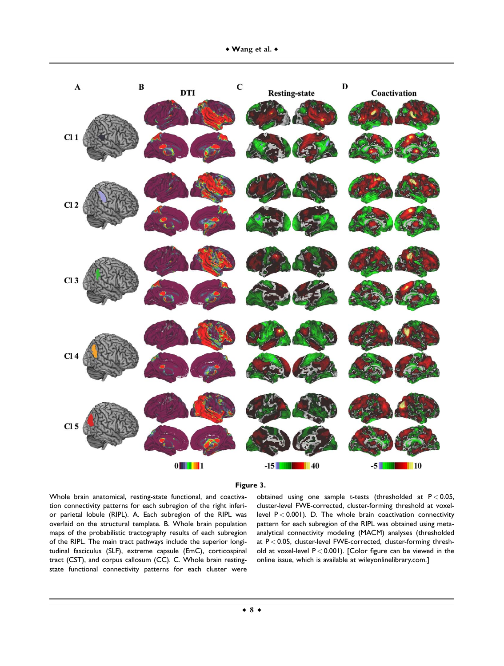

# **Figure 3.**

Whole brain anatomical, resting-state functional, and coactivation connectivity patterns for each subregion of the right inferior parietal lobule (RIPL). A. Each subregion of the RIPL was overlaid on the structural template. B. Whole brain population maps of the probabilistic tractography results of each subregion of the RIPL. The main tract pathways include the superior longitudinal fasciculus (SLF), extreme capsule (EmC), corticospinal tract (CST), and corpus callosum (CC). C. Whole brain restingstate functional connectivity patterns for each cluster were

obtained using one sample t-tests (thresholded at  $P < 0.05$ , cluster-level FWE-corrected, cluster-forming threshold at voxellevel  $P < 0.001$ ). D. The whole brain coactivation connectivity pattern for each subregion of the RIPL was obtained using metaanalytical connectivity modeling (MACM) analyses (thresholded at  $P < 0.05$ , cluster-level FWE-corrected, cluster-forming threshold at voxel-level P < 0.001). [Color figure can be viewed in the online issue, which is available at [wileyonlinelibrary.com.](http://wileyonlinelibrary.com)]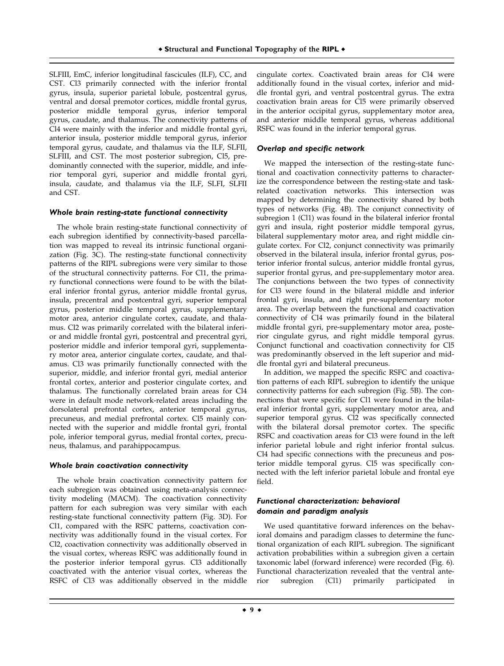SLFIII, EmC, inferior longitudinal fascicules (ILF), CC, and CST. Cl3 primarily connected with the inferior frontal gyrus, insula, superior parietal lobule, postcentral gyrus, ventral and dorsal premotor cortices, middle frontal gyrus, posterior middle temporal gyrus, inferior temporal gyrus, caudate, and thalamus. The connectivity patterns of Cl4 were mainly with the inferior and middle frontal gyri, anterior insula, posterior middle temporal gyrus, inferior temporal gyrus, caudate, and thalamus via the ILF, SLFII, SLFIII, and CST. The most posterior subregion, Cl5, predominantly connected with the superior, middle, and inferior temporal gyri, superior and middle frontal gyri, insula, caudate, and thalamus via the ILF, SLFI, SLFII and CST.

#### Whole brain resting-state functional connectivity

The whole brain resting-state functional connectivity of each subregion identified by connectivity-based parcellation was mapped to reveal its intrinsic functional organization (Fig. 3C). The resting-state functional connectivity patterns of the RIPL subregions were very similar to those of the structural connectivity patterns. For Cl1, the primary functional connections were found to be with the bilateral inferior frontal gyrus, anterior middle frontal gyrus, insula, precentral and postcentral gyri, superior temporal gyrus, posterior middle temporal gyrus, supplementary motor area, anterior cingulate cortex, caudate, and thalamus. Cl2 was primarily correlated with the bilateral inferior and middle frontal gyri, postcentral and precentral gyri, posterior middle and inferior temporal gyri, supplementary motor area, anterior cingulate cortex, caudate, and thalamus. Cl3 was primarily functionally connected with the superior, middle, and inferior frontal gyri, medial anterior frontal cortex, anterior and posterior cingulate cortex, and thalamus. The functionally correlated brain areas for Cl4 were in default mode network-related areas including the dorsolateral prefrontal cortex, anterior temporal gyrus, precuneus, and medial prefrontal cortex. Cl5 mainly connected with the superior and middle frontal gyri, frontal pole, inferior temporal gyrus, medial frontal cortex, precuneus, thalamus, and parahippocampus.

#### Whole brain coactivation connectivity

The whole brain coactivation connectivity pattern for each subregion was obtained using meta-analysis connectivity modeling (MACM). The coactivation connectivity pattern for each subregion was very similar with each resting-state functional connectivity pattern (Fig. 3D). For Cl1, compared with the RSFC patterns, coactivation connectivity was additionally found in the visual cortex. For Cl2, coactivation connectivity was additionally observed in the visual cortex, whereas RSFC was additionally found in the posterior inferior temporal gyrus. Cl3 additionally coactivated with the anterior visual cortex, whereas the RSFC of Cl3 was additionally observed in the middle

cingulate cortex. Coactivated brain areas for Cl4 were additionally found in the visual cortex, inferior and middle frontal gyri, and ventral postcentral gyrus. The extra coactivation brain areas for Cl5 were primarily observed in the anterior occipital gyrus, supplementary motor area, and anterior middle temporal gyrus, whereas additional RSFC was found in the inferior temporal gyrus.

#### Overlap and specific network

We mapped the intersection of the resting-state functional and coactivation connectivity patterns to characterize the correspondence between the resting-state and taskrelated coactivation networks. This intersection was mapped by determining the connectivity shared by both types of networks (Fig. 4B). The conjunct connectivity of subregion 1 (Cl1) was found in the bilateral inferior frontal gyri and insula, right posterior middle temporal gyrus, bilateral supplementary motor area, and right middle cingulate cortex. For Cl2, conjunct connectivity was primarily observed in the bilateral insula, inferior frontal gyrus, posterior inferior frontal sulcus, anterior middle frontal gyrus, superior frontal gyrus, and pre-supplementary motor area. The conjunctions between the two types of connectivity for Cl3 were found in the bilateral middle and inferior frontal gyri, insula, and right pre-supplementary motor area. The overlap between the functional and coactivation connectivity of Cl4 was primarily found in the bilateral middle frontal gyri, pre-supplementary motor area, posterior cingulate gyrus, and right middle temporal gyrus. Conjunct functional and coactivation connectivity for Cl5 was predominantly observed in the left superior and middle frontal gyri and bilateral precuneus.

In addition, we mapped the specific RSFC and coactivation patterns of each RIPL subregion to identify the unique connectivity patterns for each subregion (Fig. 5B). The connections that were specific for Cl1 were found in the bilateral inferior frontal gyri, supplementary motor area, and superior temporal gyrus. Cl2 was specifically connected with the bilateral dorsal premotor cortex. The specific RSFC and coactivation areas for Cl3 were found in the left inferior parietal lobule and right inferior frontal sulcus. Cl4 had specific connections with the precuneus and posterior middle temporal gyrus. Cl5 was specifically connected with the left inferior parietal lobule and frontal eye field.

# Functional characterization: behavioral domain and paradigm analysis

We used quantitative forward inferences on the behavioral domains and paradigm classes to determine the functional organization of each RIPL subregion. The significant activation probabilities within a subregion given a certain taxonomic label (forward inference) were recorded (Fig. 6). Functional characterization revealed that the ventral anterior subregion (Cl1) primarily participated in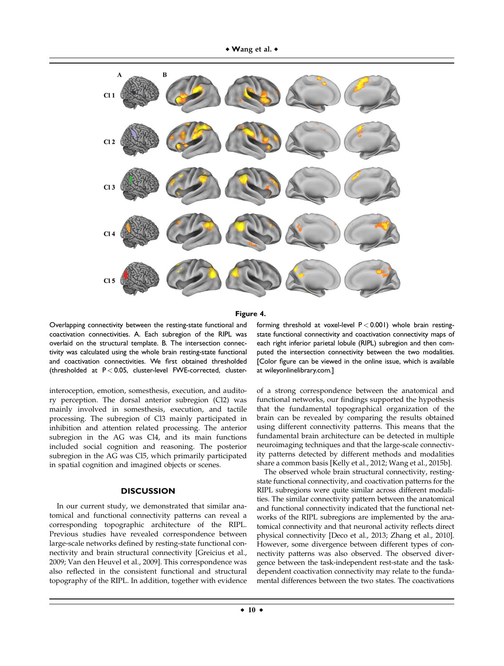

#### **Figure 4.**

Overlapping connectivity between the resting-state functional and coactivation connectivities. A. Each subregion of the RIPL was overlaid on the structural template. B. The intersection connectivity was calculated using the whole brain resting-state functional and coactivation connectivities. We first obtained thresholded (thresholded at  $P < 0.05$ , cluster-level FWE-corrected, cluster-

interoception, emotion, somesthesis, execution, and auditory perception. The dorsal anterior subregion (Cl2) was mainly involved in somesthesis, execution, and tactile processing. The subregion of Cl3 mainly participated in inhibition and attention related processing. The anterior subregion in the AG was Cl4, and its main functions included social cognition and reasoning. The posterior subregion in the AG was Cl5, which primarily participated in spatial cognition and imagined objects or scenes.

# **DISCUSSION**

In our current study, we demonstrated that similar anatomical and functional connectivity patterns can reveal a corresponding topographic architecture of the RIPL. Previous studies have revealed correspondence between large-scale networks defined by resting-state functional connectivity and brain structural connectivity [Greicius et al., 2009; Van den Heuvel et al., 2009]. This correspondence was also reflected in the consistent functional and structural topography of the RIPL. In addition, together with evidence

forming threshold at voxel-level  $P < 0.001$ ) whole brain restingstate functional connectivity and coactivation connectivity maps of each right inferior parietal lobule (RIPL) subregion and then computed the intersection connectivity between the two modalities. [Color figure can be viewed in the online issue, which is available at [wileyonlinelibrary.com.](http://wileyonlinelibrary.com)]

of a strong correspondence between the anatomical and functional networks, our findings supported the hypothesis that the fundamental topographical organization of the brain can be revealed by comparing the results obtained using different connectivity patterns. This means that the fundamental brain architecture can be detected in multiple neuroimaging techniques and that the large-scale connectivity patterns detected by different methods and modalities share a common basis [Kelly et al., 2012; Wang et al., 2015b].

The observed whole brain structural connectivity, restingstate functional connectivity, and coactivation patterns for the RIPL subregions were quite similar across different modalities. The similar connectivity pattern between the anatomical and functional connectivity indicated that the functional networks of the RIPL subregions are implemented by the anatomical connectivity and that neuronal activity reflects direct physical connectivity [Deco et al., 2013; Zhang et al., 2010]. However, some divergence between different types of connectivity patterns was also observed. The observed divergence between the task-independent rest-state and the taskdependent coactivation connectivity may relate to the fundamental differences between the two states. The coactivations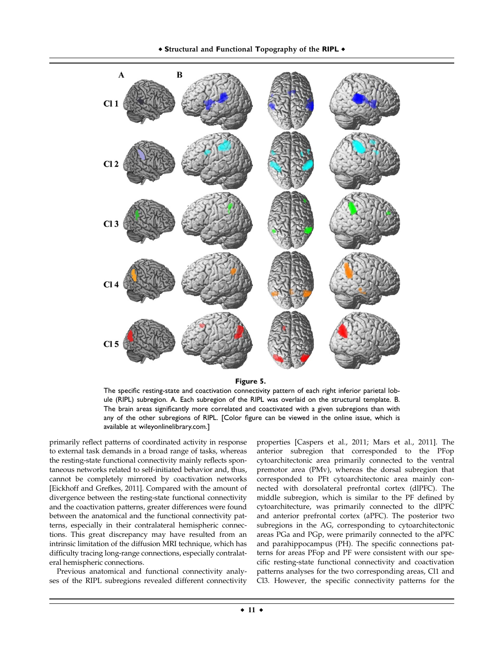

**Figure 5.**

The specific resting-state and coactivation connectivity pattern of each right inferior parietal lobule (RIPL) subregion. A. Each subregion of the RIPL was overlaid on the structural template. B. The brain areas significantly more correlated and coactivated with a given subregions than with any of the other subregions of RIPL. [Color figure can be viewed in the online issue, which is available at [wileyonlinelibrary.com](http://wileyonlinelibrary.com).]

primarily reflect patterns of coordinated activity in response to external task demands in a broad range of tasks, whereas the resting-state functional connectivity mainly reflects spontaneous networks related to self-initiated behavior and, thus, cannot be completely mirrored by coactivation networks [Eickhoff and Grefkes, 2011]. Compared with the amount of divergence between the resting-state functional connectivity and the coactivation patterns, greater differences were found between the anatomical and the functional connectivity patterns, especially in their contralateral hemispheric connections. This great discrepancy may have resulted from an intrinsic limitation of the diffusion MRI technique, which has difficulty tracing long-range connections, especially contralateral hemispheric connections.

Previous anatomical and functional connectivity analyses of the RIPL subregions revealed different connectivity properties [Caspers et al., 2011; Mars et al., 2011]. The anterior subregion that corresponded to the PFop cytoarchitectonic area primarily connected to the ventral premotor area (PMv), whereas the dorsal subregion that corresponded to PFt cytoarchitectonic area mainly connected with dorsolateral prefrontal cortex (dlPFC). The middle subregion, which is similar to the PF defined by cytoarchitecture, was primarily connected to the dlPFC and anterior prefrontal cortex (aPFC). The posterior two subregions in the AG, corresponding to cytoarchitectonic areas PGa and PGp, were primarily connected to the aPFC and parahippocampus (PH). The specific connections patterns for areas PFop and PF were consistent with our specific resting-state functional connectivity and coactivation patterns analyses for the two corresponding areas, Cl1 and Cl3. However, the specific connectivity patterns for the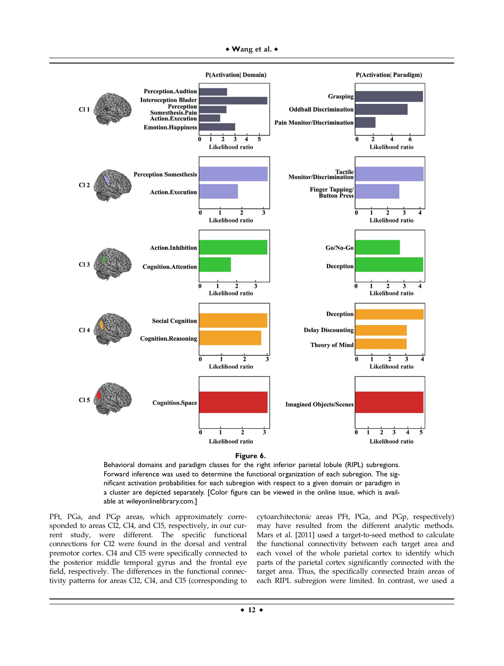



Behavioral domains and paradigm classes for the right inferior parietal lobule (RIPL) subregions. Forward inference was used to determine the functional organization of each subregion. The significant activation probabilities for each subregion with respect to a given domain or paradigm in a cluster are depicted separately. [Color figure can be viewed in the online issue, which is available at [wileyonlinelibrary.com.](http://wileyonlinelibrary.com)]

PFt, PGa, and PGp areas, which approximately corresponded to areas Cl2, Cl4, and Cl5, respectively, in our current study, were different. The specific functional connections for Cl2 were found in the dorsal and ventral premotor cortex. Cl4 and Cl5 were specifically connected to the posterior middle temporal gyrus and the frontal eye field, respectively. The differences in the functional connectivity patterns for areas Cl2, Cl4, and Cl5 (corresponding to

cytoarchitectonic areas PFt, PGa, and PGp, respectively) may have resulted from the different analytic methods. Mars et al. [2011] used a target-to-seed method to calculate the functional connectivity between each target area and each voxel of the whole parietal cortex to identify which parts of the parietal cortex significantly connected with the target area. Thus, the specifically connected brain areas of each RIPL subregion were limited. In contrast, we used a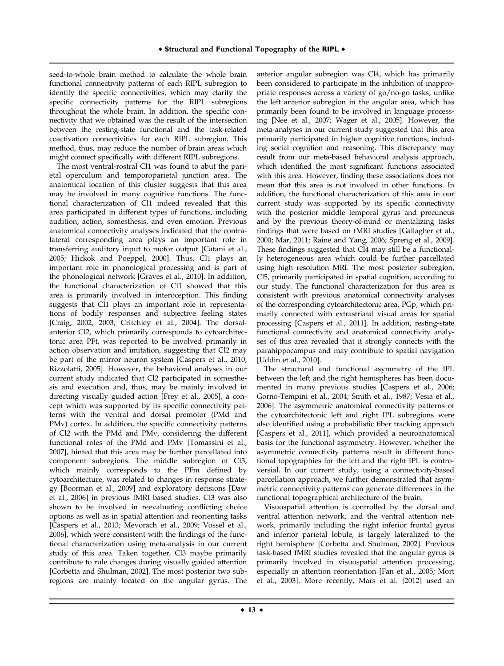seed-to-whole brain method to calculate the whole brain functional connectivity patterns of each RIPL subregion to identify the specific connectivities, which may clarify the specific connectivity patterns for the RIPL subregions throughout the whole brain. In addition, the specific connectivity that we obtained was the result of the intersection between the resting-state functional and the task-related coactivation connectivities for each RIPL subregion. This method, thus, may reduce the number of brain areas which might connect specifically with different RIPL subregions.

The most ventral-rostral Cl1 was found to abut the parietal operculum and temporoparietal junction area. The anatomical location of this cluster suggests that this area may be involved in many cognitive functions. The functional characterization of Cl1 indeed revealed that this area participated in different types of functions, including audition, action, somesthesis, and even emotion. Previous anatomical connectivity analyses indicated that the contralateral corresponding area plays an important role in transferring auditory input to motor output [Catani et al., 2005; Hickok and Poeppel, 2000]. Thus, Cl1 plays an important role in phonological processing and is part of the phonological network [Graves et al., 2010]. In addition, the functional characterization of Cl1 showed that this area is primarily involved in interoception. This finding suggests that Cl1 plays an important role in representations of bodily responses and subjective feeling states [Craig, 2002, 2003; Critchley et al., 2004]. The dorsalanterior Cl2, which primarily corresponds to cytoarchitectonic area PFt, was reported to be involved primarily in action observation and imitation, suggesting that Cl2 may be part of the mirror neuron system [Caspers et al., 2010; Rizzolatti, 2005]. However, the behavioral analyses in our current study indicated that Cl2 participated in somesthesis and execution and, thus, may be mainly involved in directing visually guided action [Frey et al., 2005], a concept which was supported by its specific connectivity patterns with the ventral and dorsal premotor (PMd and PMv) cortex. In addition, the specific connectivity patterns of Cl2 with the PMd and PMv, considering the different functional roles of the PMd and PMv [Tomassini et al., 2007], hinted that this area may be further parcellated into component subregions. The middle subregion of Cl3, which mainly corresponds to the PFm defined by cytoarchitecture, was related to changes in response strategy [Boorman et al., 2009] and exploratory decisions [Daw et al., 2006] in previous fMRI based studies. Cl3 was also shown to be involved in reevaluating conflicting choice options as well as in spatial attention and reorienting tasks [Caspers et al., 2013; Mevorach et al., 2009; Vossel et al., 2006], which were consistent with the findings of the functional characterization using meta-analysis in our current study of this area. Taken together, Cl3 maybe primarily contribute to rule changes during visually guided attention [Corbetta and Shulman, 2002]. The most posterior two subregions are mainly located on the angular gyrus. The

anterior angular subregion was Cl4, which has primarily been considered to participate in the inhibition of inappropriate responses across a variety of go/no-go tasks, unlike the left anterior subregion in the angular area, which has primarily been found to be involved in language processing [Nee et al., 2007; Wager et al., 2005]. However, the meta-analyses in our current study suggested that this area primarily participated in higher cognitive functions, including social cognition and reasoning. This discrepancy may result from our meta-based behavioral analysis approach, which identified the most significant functions associated with this area. However, finding these associations does not mean that this area is not involved in other functions. In addition, the functional characterization of this area in our current study was supported by its specific connectivity with the posterior middle temporal gyrus and precuneus and by the previous theory-of-mind or mentalizing tasks findings that were based on fMRI studies [Gallagher et al., 2000; Mar, 2011; Raine and Yang, 2006; Spreng et al., 2009]. These findings suggested that Cl4 may still be a functionally heterogeneous area which could be further parcellated using high resolution MRI. The most posterior subregion, Cl5, primarily participated in spatial cognition, according to our study. The functional characterization for this area is consistent with previous anatomical connectivity analyses of the corresponding cytoarchitectonic area, PGp, which primarily connected with extrastriatal visual areas for spatial processing [Caspers et al., 2011]. In addition, resting-state functional connectivity and anatomical connectivity analyses of this area revealed that it strongly connects with the parahippocampus and may contribute to spatial navigation [Uddin et al., 2010].

The structural and functional asymmetry of the IPL between the left and the right hemispheres has been documented in many previous studies [Caspers et al., 2006; Gorno-Tempini et al., 2004; Smith et al., 1987; Vesia et al., 2006]. The asymmetric anatomical connectivity patterns of the cytoarchitectonic left and right IPL subregions were also identified using a probabilistic fiber tracking approach [Caspers et al., 2011], which provided a neuroanatomical basis for the functional asymmetry. However, whether the asymmetric connectivity patterns result in different functional topographies for the left and the right IPL is controversial. In our current study, using a connectivity-based parcellation approach, we further demonstrated that asymmetric connectivity patterns can generate differences in the functional topographical architecture of the brain.

Visuospatial attention is controlled by the dorsal and ventral attention network, and the ventral attention network, primarily including the right inferior frontal gyrus and inferior parietal lobule, is largely lateralized to the right hemisphere [Corbetta and Shulman, 2002]. Previous task-based fMRI studies revealed that the angular gyrus is primarily involved in visuospatial attention processing, especially in attention reorientation [Fan et al., 2005; Mort et al., 2003]. More recently, Mars et al. [2012] used an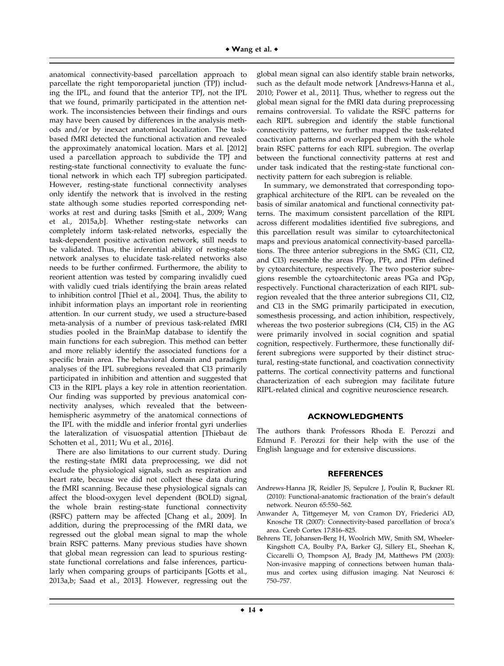anatomical connectivity-based parcellation approach to parcellate the right temporoparietal junction (TPJ) including the IPL, and found that the anterior TPJ, not the IPL that we found, primarily participated in the attention network. The inconsistencies between their findings and ours may have been caused by differences in the analysis methods and/or by inexact anatomical localization. The taskbased fMRI detected the functional activation and revealed the approximately anatomical location. Mars et al. [2012] used a parcellation approach to subdivide the TPJ and resting-state functional connectivity to evaluate the functional network in which each TPJ subregion participated. However, resting-state functional connectivity analyses only identify the network that is involved in the resting state although some studies reported corresponding networks at rest and during tasks [Smith et al., 2009; Wang et al., 2015a,b]. Whether resting-state networks can completely inform task-related networks, especially the task-dependent positive activation network, still needs to be validated. Thus, the inferential ability of resting-state network analyses to elucidate task-related networks also needs to be further confirmed. Furthermore, the ability to reorient attention was tested by comparing invalidly cued with validly cued trials identifying the brain areas related to inhibition control [Thiel et al., 2004]. Thus, the ability to inhibit information plays an important role in reorienting attention. In our current study, we used a structure-based meta-analysis of a number of previous task-related fMRI studies pooled in the BrainMap database to identify the main functions for each subregion. This method can better and more reliably identify the associated functions for a specific brain area. The behavioral domain and paradigm analyses of the IPL subregions revealed that Cl3 primarily participated in inhibition and attention and suggested that Cl3 in the RIPL plays a key role in attention reorientation. Our finding was supported by previous anatomical connectivity analyses, which revealed that the betweenhemispheric asymmetry of the anatomical connections of the IPL with the middle and inferior frontal gyri underlies the lateralization of visuospatial attention [Thiebaut de Schotten et al., 2011; Wu et al., 2016].

There are also limitations to our current study. During the resting-state fMRI data preprocessing, we did not exclude the physiological signals, such as respiration and heart rate, because we did not collect these data during the fMRI scanning. Because these physiological signals can affect the blood-oxygen level dependent (BOLD) signal, the whole brain resting-state functional connectivity (RSFC) pattern may be affected [Chang et al., 2009]. In addition, during the preprocessing of the fMRI data, we regressed out the global mean signal to map the whole brain RSFC patterns. Many previous studies have shown that global mean regression can lead to spurious restingstate functional correlations and false inferences, particularly when comparing groups of participants [Gotts et al., 2013a,b; Saad et al., 2013]. However, regressing out the

global mean signal can also identify stable brain networks, such as the default mode network [Andrews-Hanna et al., 2010; Power et al., 2011]. Thus, whether to regress out the global mean signal for the fMRI data during preprocessing remains controversial. To validate the RSFC patterns for each RIPL subregion and identify the stable functional connectivity patterns, we further mapped the task-related coactivation patterns and overlapped them with the whole brain RSFC patterns for each RIPL subregion. The overlap between the functional connectivity patterns at rest and under task indicated that the resting-state functional connectivity pattern for each subregion is reliable.

In summary, we demonstrated that corresponding topographical architecture of the RIPL can be revealed on the basis of similar anatomical and functional connectivity patterns. The maximum consistent parcellation of the RIPL across different modalities identified five subregions, and this parcellation result was similar to cytoarchitectonical maps and previous anatomical connectivity-based parcellations. The three anterior subregions in the SMG (Cl1, Cl2, and Cl3) resemble the areas PFop, PFt, and PFm defined by cytoarchitecture, respectively. The two posterior subregions resemble the cytoarchitectonic areas PGa and PGp, respectively. Functional characterization of each RIPL subregion revealed that the three anterior subregions Cl1, Cl2, and Cl3 in the SMG primarily participated in execution, somesthesis processing, and action inhibition, respectively, whereas the two posterior subregions (Cl4, Cl5) in the AG were primarily involved in social cognition and spatial cognition, respectively. Furthermore, these functionally different subregions were supported by their distinct structural, resting-state functional, and coactivation connectivity patterns. The cortical connectivity patterns and functional characterization of each subregion may facilitate future RIPL-related clinical and cognitive neuroscience research.

#### **ACKNOWLEDGMENTS**

The authors thank Professors Rhoda E. Perozzi and Edmund F. Perozzi for their help with the use of the English language and for extensive discussions.

#### **REFERENCES**

- Andrews-Hanna JR, Reidler JS, Sepulcre J, Poulin R, Buckner RL (2010): Functional-anatomic fractionation of the brain's default network. Neuron 65:550–562.
- Anwander A, Tittgemeyer M, von Cramon DY, Friederici AD, Knosche TR (2007): Connectivity-based parcellation of broca's area. Cereb Cortex 17:816–825.
- Behrens TE, Johansen-Berg H, Woolrich MW, Smith SM, Wheeler-Kingshott CA, Boulby PA, Barker GJ, Sillery EL, Sheehan K, Ciccarelli O, Thompson AJ, Brady JM, Matthews PM (2003): Non-invasive mapping of connections between human thalamus and cortex using diffusion imaging. Nat Neurosci 6: 750–757.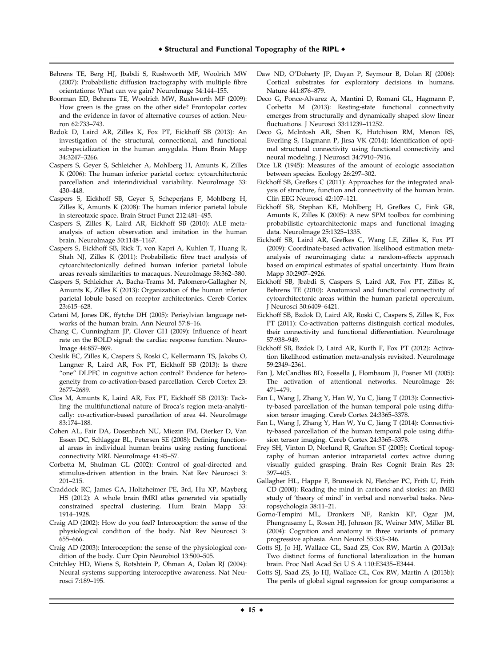- Behrens TE, Berg HJ, Jbabdi S, Rushworth MF, Woolrich MW (2007): Probabilistic diffusion tractography with multiple fibre orientations: What can we gain? NeuroImage 34:144–155.
- Boorman ED, Behrens TE, Woolrich MW, Rushworth MF (2009): How green is the grass on the other side? Frontopolar cortex and the evidence in favor of alternative courses of action. Neuron 62:733–743.
- Bzdok D, Laird AR, Zilles K, Fox PT, Eickhoff SB (2013): An investigation of the structural, connectional, and functional subspecialization in the human amygdala. Hum Brain Mapp 34:3247–3266.
- Caspers S, Geyer S, Schleicher A, Mohlberg H, Amunts K, Zilles K (2006): The human inferior parietal cortex: cytoarchitectonic parcellation and interindividual variability. NeuroImage 33: 430–448.
- Caspers S, Eickhoff SB, Geyer S, Scheperjans F, Mohlberg H, Zilles K, Amunts K (2008): The human inferior parietal lobule in stereotaxic space. Brain Struct Funct 212:481–495.
- Caspers S, Zilles K, Laird AR, Eickhoff SB (2010): ALE metaanalysis of action observation and imitation in the human brain. NeuroImage 50:1148–1167.
- Caspers S, Eickhoff SB, Rick T, von Kapri A, Kuhlen T, Huang R, Shah NJ, Zilles K (2011): Probabilistic fibre tract analysis of cytoarchitectonically defined human inferior parietal lobule areas reveals similarities to macaques. NeuroImage 58:362–380.
- Caspers S, Schleicher A, Bacha-Trams M, Palomero-Gallagher N, Amunts K, Zilles K (2013): Organization of the human inferior parietal lobule based on receptor architectonics. Cereb Cortex 23:615–628.
- Catani M, Jones DK, ffytche DH (2005): Perisylvian language networks of the human brain. Ann Neurol 57:8–16.
- Chang C, Cunningham JP, Glover GH (2009): Influence of heart rate on the BOLD signal: the cardiac response function. Neuro-Image 44:857–869.
- Cieslik EC, Zilles K, Caspers S, Roski C, Kellermann TS, Jakobs O, Langner R, Laird AR, Fox PT, Eickhoff SB (2013): Is there "one" DLPFC in cognitive action control? Evidence for heterogeneity from co-activation-based parcellation. Cereb Cortex 23: 2677–2689.
- Clos M, Amunts K, Laird AR, Fox PT, Eickhoff SB (2013): Tackling the multifunctional nature of Broca's region meta-analytically: co-activation-based parcellation of area 44. NeuroImage 83:174–188.
- Cohen AL, Fair DA, Dosenbach NU, Miezin FM, Dierker D, Van Essen DC, Schlaggar BL, Petersen SE (2008): Defining functional areas in individual human brains using resting functional connectivity MRI. NeuroImage 41:45–57.
- Corbetta M, Shulman GL (2002): Control of goal-directed and stimulus-driven attention in the brain. Nat Rev Neurosci 3: 201–215.
- Craddock RC, James GA, Holtzheimer PE, 3rd, Hu XP, Mayberg HS (2012): A whole brain fMRI atlas generated via spatially constrained spectral clustering. Hum Brain Mapp 33: 1914–1928.
- Craig AD (2002): How do you feel? Interoception: the sense of the physiological condition of the body. Nat Rev Neurosci 3: 655–666.
- Craig AD (2003): Interoception: the sense of the physiological condition of the body. Curr Opin Neurobiol 13:500–505.
- Critchley HD, Wiens S, Rotshtein P, Ohman A, Dolan RJ (2004): Neural systems supporting interoceptive awareness. Nat Neurosci 7:189–195.
- Daw ND, O'Doherty JP, Dayan P, Seymour B, Dolan RJ (2006): Cortical substrates for exploratory decisions in humans. Nature 441:876–879.
- Deco G, Ponce-Alvarez A, Mantini D, Romani GL, Hagmann P, Corbetta M (2013): Resting-state functional connectivity emerges from structurally and dynamically shaped slow linear fluctuations. J Neurosci 33:11239–11252.
- Deco G, McIntosh AR, Shen K, Hutchison RM, Menon RS, Everling S, Hagmann P, Jirsa VK (2014): Identification of optimal structural connectivity using functional connectivity and neural modeling. J Neurosci 34:7910–7916.
- Dice LR (1945): Measures of the amount of ecologic association between species. Ecology 26:297–302.
- Eickhoff SB, Grefkes C (2011): Approaches for the integrated analysis of structure, function and connectivity of the human brain. Clin EEG Neurosci 42:107–121.
- Eickhoff SB, Stephan KE, Mohlberg H, Grefkes C, Fink GR, Amunts K, Zilles K (2005): A new SPM toolbox for combining probabilistic cytoarchitectonic maps and functional imaging data. NeuroImage 25:1325–1335.
- Eickhoff SB, Laird AR, Grefkes C, Wang LE, Zilles K, Fox PT (2009): Coordinate-based activation likelihood estimation metaanalysis of neuroimaging data: a random-effects approach based on empirical estimates of spatial uncertainty. Hum Brain Mapp 30:2907–2926.
- Eickhoff SB, Jbabdi S, Caspers S, Laird AR, Fox PT, Zilles K, Behrens TE (2010): Anatomical and functional connectivity of cytoarchitectonic areas within the human parietal operculum. J Neurosci 30:6409–6421.
- Eickhoff SB, Bzdok D, Laird AR, Roski C, Caspers S, Zilles K, Fox PT (2011): Co-activation patterns distinguish cortical modules, their connectivity and functional differentiation. NeuroImage 57:938–949.
- Eickhoff SB, Bzdok D, Laird AR, Kurth F, Fox PT (2012): Activation likelihood estimation meta-analysis revisited. NeuroImage 59:2349–2361.
- Fan J, McCandliss BD, Fossella J, Flombaum JI, Posner MI (2005): The activation of attentional networks. NeuroImage 26: 471–479.
- Fan L, Wang J, Zhang Y, Han W, Yu C, Jiang T (2013): Connectivity-based parcellation of the human temporal pole using diffusion tensor imaging. Cereb Cortex 24:3365–3378.
- Fan L, Wang J, Zhang Y, Han W, Yu C, Jiang T (2014): Connectivity-based parcellation of the human temporal pole using diffusion tensor imaging. Cereb Cortex 24:3365–3378.
- Frey SH, Vinton D, Norlund R, Grafton ST (2005): Cortical topography of human anterior intraparietal cortex active during visually guided grasping. Brain Res Cognit Brain Res 23: 397–405.
- Gallagher HL, Happe F, Brunswick N, Fletcher PC, Frith U, Frith CD (2000): Reading the mind in cartoons and stories: an fMRI study of 'theory of mind' in verbal and nonverbal tasks. Neuropsychologia 38:11–21.
- Gorno-Tempini ML, Dronkers NF, Rankin KP, Ogar JM, Phengrasamy L, Rosen HJ, Johnson JK, Weiner MW, Miller BL (2004): Cognition and anatomy in three variants of primary progressive aphasia. Ann Neurol 55:335–346.
- Gotts SJ, Jo HJ, Wallace GL, Saad ZS, Cox RW, Martin A (2013a): Two distinct forms of functional lateralization in the human brain. Proc Natl Acad Sci U S A 110:E3435–E3444.
- Gotts SJ, Saad ZS, Jo HJ, Wallace GL, Cox RW, Martin A (2013b): The perils of global signal regression for group comparisons: a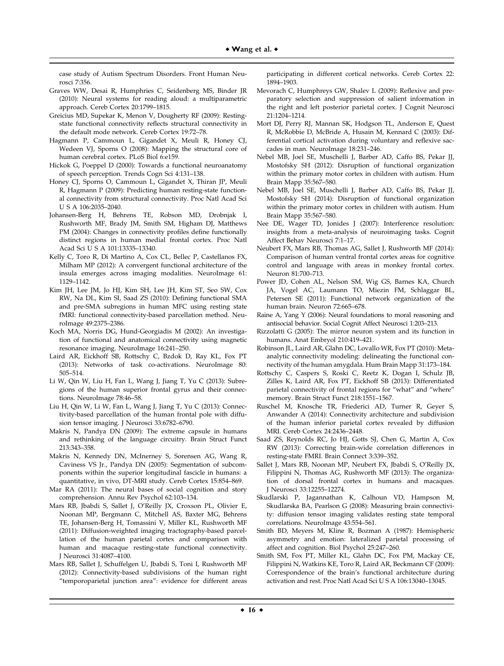case study of Autism Spectrum Disorders. Front Human Neurosci 7:356.

- Graves WW, Desai R, Humphries C, Seidenberg MS, Binder JR (2010): Neural systems for reading aloud: a multiparametric approach. Cereb Cortex 20:1799–1815.
- Greicius MD, Supekar K, Menon V, Dougherty RF (2009): Restingstate functional connectivity reflects structural connectivity in the default mode network. Cereb Cortex 19:72–78.
- Hagmann P, Cammoun L, Gigandet X, Meuli R, Honey CJ, Wedeen VJ, Sporns O (2008): Mapping the structural core of human cerebral cortex. PLoS Biol 6:e159.
- Hickok G, Poeppel D (2000): Towards a functional neuroanatomy of speech perception. Trends Cogn Sci 4:131–138.
- Honey CJ, Sporns O, Cammoun L, Gigandet X, Thiran JP, Meuli R, Hagmann P (2009): Predicting human resting-state functional connectivity from structural connectivity. Proc Natl Acad Sci U S A 106:2035–2040.
- Johansen-Berg H, Behrens TE, Robson MD, Drobnjak I, Rushworth MF, Brady JM, Smith SM, Higham DJ, Matthews PM (2004): Changes in connectivity profiles define functionally distinct regions in human medial frontal cortex. Proc Natl Acad Sci U S A 101:13335–13340.
- Kelly C, Toro R, Di Martino A, Cox CL, Bellec P, Castellanos FX, Milham MP (2012): A convergent functional architecture of the insula emerges across imaging modalities. NeuroImage 61: 1129–1142.
- Kim JH, Lee JM, Jo HJ, Kim SH, Lee JH, Kim ST, Seo SW, Cox RW, Na DL, Kim SI, Saad ZS (2010): Defining functional SMA and pre-SMA subregions in human MFC using resting state fMRI: functional connectivity-based parcellation method. NeuroImage 49:2375–2386.
- Koch MA, Norris DG, Hund-Georgiadis M (2002): An investigation of functional and anatomical connectivity using magnetic resonance imaging. NeuroImage 16:241–250.
- Laird AR, Eickhoff SB, Rottschy C, Bzdok D, Ray KL, Fox PT (2013): Networks of task co-activations. NeuroImage 80: 505–514.
- Li W, Qin W, Liu H, Fan L, Wang J, Jiang T, Yu C (2013): Subregions of the human superior frontal gyrus and their connections. NeuroImage 78:46–58.
- Liu H, Qin W, Li W, Fan L, Wang J, Jiang T, Yu C (2013): Connectivity-based parcellation of the human frontal pole with diffusion tensor imaging. J Neurosci 33:6782–6790.
- Makris N, Pandya DN (2009): The extreme capsule in humans and rethinking of the language circuitry. Brain Struct Funct 213:343–358.
- Makris N, Kennedy DN, McInerney S, Sorensen AG, Wang R, Caviness VS Jr., Pandya DN (2005): Segmentation of subcomponents within the superior longitudinal fascicle in humans: a quantitative, in vivo, DT-MRI study. Cereb Cortex 15:854–869.
- Mar RA (2011): The neural bases of social cognition and story comprehension. Annu Rev Psychol 62:103–134.
- Mars RB, Jbabdi S, Sallet J, O'Reilly JX, Croxson PL, Olivier E, Noonan MP, Bergmann C, Mitchell AS, Baxter MG, Behrens TE, Johansen-Berg H, Tomassini V, Miller KL, Rushworth MF (2011): Diffusion-weighted imaging tractography-based parcellation of the human parietal cortex and comparison with human and macaque resting-state functional connectivity. J Neurosci 31:4087–4100.
- Mars RB, Sallet J, Schuffelgen U, Jbabdi S, Toni I, Rushworth MF (2012): Connectivity-based subdivisions of the human right "temporoparietal junction area": evidence for different areas

participating in different cortical networks. Cereb Cortex 22: 1894–1903.

- Mevorach C, Humphreys GW, Shalev L (2009): Reflexive and preparatory selection and suppression of salient information in the right and left posterior parietal cortex. J Cognit Neurosci 21:1204–1214.
- Mort DJ, Perry RJ, Mannan SK, Hodgson TL, Anderson E, Quest R, McRobbie D, McBride A, Husain M, Kennard C (2003): Differential cortical activation during voluntary and reflexive saccades in man. NeuroImage 18:231–246.
- Nebel MB, Joel SE, Muschelli J, Barber AD, Caffo BS, Pekar JJ, Mostofsky SH (2012): Disruption of functional organization within the primary motor cortex in children with autism. Hum Brain Mapp 35:567–580.
- Nebel MB, Joel SE, Muschelli J, Barber AD, Caffo BS, Pekar JJ, Mostofsky SH (2014): Disruption of functional organization within the primary motor cortex in children with autism. Hum Brain Mapp 35:567–580.
- Nee DE, Wager TD, Jonides J (2007): Interference resolution: insights from a meta-analysis of neuroimaging tasks. Cognit Affect Behav Neurosci 7:1–17.
- Neubert FX, Mars RB, Thomas AG, Sallet J, Rushworth MF (2014): Comparison of human ventral frontal cortex areas for cognitive control and language with areas in monkey frontal cortex. Neuron 81:700–713.
- Power JD, Cohen AL, Nelson SM, Wig GS, Barnes KA, Church JA, Vogel AC, Laumann TO, Miezin FM, Schlaggar BL, Petersen SE (2011): Functional network organization of the human brain. Neuron 72:665–678.
- Raine A, Yang Y (2006): Neural foundations to moral reasoning and antisocial behavior. Social Cognit Affect Neurosci 1:203–213.
- Rizzolatti G (2005): The mirror neuron system and its function in humans. Anat Embryol 210:419–421.
- Robinson JL, Laird AR, Glahn DC, Lovallo WR, Fox PT (2010): Metaanalytic connectivity modeling: delineating the functional connectivity of the human amygdala. Hum Brain Mapp 31:173–184.
- Rottschy C, Caspers S, Roski C, Reetz K, Dogan I, Schulz JB, Zilles K, Laird AR, Fox PT, Eickhoff SB (2013): Differentiated parietal connectivity of frontal regions for "what" and "where" memory. Brain Struct Funct 218:1551–1567.
- Ruschel M, Knosche TR, Friederici AD, Turner R, Geyer S, Anwander A (2014): Connectivity architecture and subdivision of the human inferior parietal cortex revealed by diffusion MRI. Cereb Cortex 24:2436–2448.
- Saad ZS, Reynolds RC, Jo HJ, Gotts SJ, Chen G, Martin A, Cox RW (2013): Correcting brain-wide correlation differences in resting-state FMRI. Brain Connect 3:339–352.
- Sallet J, Mars RB, Noonan MP, Neubert FX, Jbabdi S, O'Reilly JX, Filippini N, Thomas AG, Rushworth MF (2013): The organization of dorsal frontal cortex in humans and macaques. J Neurosci 33:12255–12274.
- Skudlarski P, Jagannathan K, Calhoun VD, Hampson M, Skudlarska BA, Pearlson G (2008): Measuring brain connectivity: diffusion tensor imaging validates resting state temporal correlations. NeuroImage 43:554–561.
- Smith BD, Meyers M, Kline R, Bozman A (1987): Hemispheric asymmetry and emotion: lateralized parietal processing of affect and cognition. Biol Psychol 25:247–260.
- Smith SM, Fox PT, Miller KL, Glahn DC, Fox PM, Mackay CE, Filippini N, Watkins KE, Toro R, Laird AR, Beckmann CF (2009): Correspondence of the brain's functional architecture during activation and rest. Proc Natl Acad Sci U S A 106:13040–13045.